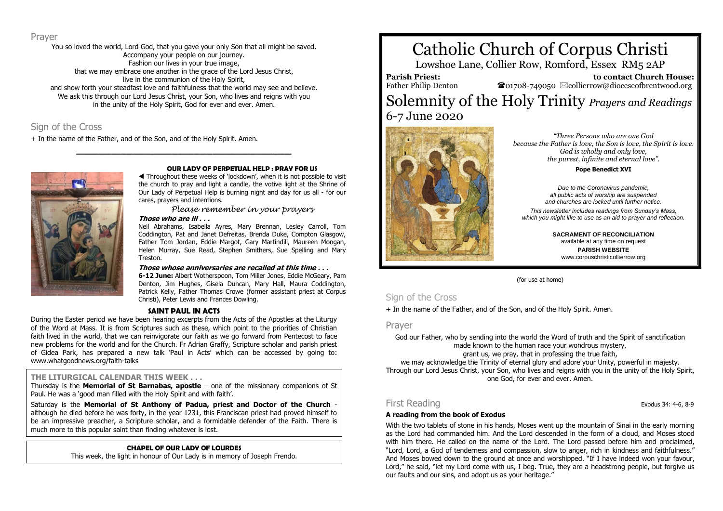### Prayer

You so loved the world, Lord God, that you gave your only Son that all might be saved. Accompany your people on our journey. Fashion our lives in your true image, that we may embrace one another in the grace of the Lord Jesus Christ, live in the communion of the Holy Spirit, and show forth your steadfast love and faithfulness that the world may see and believe. We ask this through our Lord Jesus Christ, your Son, who lives and reigns with you in the unity of the Holy Spirit, God for ever and ever. Amen.

**\_\_\_\_\_\_\_\_\_\_\_\_\_\_\_\_\_\_\_\_\_\_\_\_\_\_\_\_\_\_\_\_\_\_\_\_\_\_\_\_\_\_\_\_\_\_\_\_\_\_\_\_\_\_\_\_\_\_\_\_\_\_\_\_\_\_\_\_**

# Sign of the Cross

+ In the name of the Father, and of the Son, and of the Holy Spirit. Amen.



#### **OUR LADY OF PERPETUAL HELP : PRAY FOR US**

 Throughout these weeks of 'lockdown', when it is not possible to visit the church to pray and light a candle, the votive light at the Shrine of Our Lady of Perpetual Help is burning night and day for us all - for our cares, prayers and intentions.

*Please remember in your prayers*

#### **Those who are ill . . .**

Neil Abrahams, Isabella Ayres, Mary Brennan, Lesley Carroll, Tom Coddington, Pat and Janet Defreitas, Brenda Duke, Compton Glasgow, Father Tom Jordan, Eddie Margot, Gary Martindill, Maureen Mongan, Helen Murray, Sue Read, Stephen Smithers, Sue Spelling and Mary Treston.

#### **Those whose anniversaries are recalled at this time . . .**

**6-12 June:** Albert Wotherspoon, Tom Miller Jones, Eddie McGeary, Pam Denton, Jim Hughes, Gisela Duncan, Mary Hall, Maura Coddington, Patrick Kelly, Father Thomas Crowe (former assistant priest at Corpus Christi), Peter Lewis and Frances Dowling.

#### **SAINT PAUL IN ACTS**

During the Easter period we have been hearing excerpts from the Acts of the Apostles at the Liturgy of the Word at Mass. It is from Scriptures such as these, which point to the priorities of Christian faith lived in the world, that we can reinvigorate our faith as we go forward from Pentecost to face new problems for the world and for the Church. Fr Adrian Graffy, Scripture scholar and parish priest of Gidea Park, has prepared a new talk 'Paul in Acts' which can be accessed by going to: www.whatgoodnews.org/faith-talks

### **THE LITURGICAL CALENDAR THIS WEEK . . .**

Thursday is the **Memorial of St Barnabas, apostle** – one of the missionary companions of St Paul. He was a 'good man filled with the Holy Spirit and with faith'.

Saturday is the **Memorial of St Anthony of Padua, priest and Doctor of the Church**  although he died before he was forty, in the year 1231, this Franciscan priest had proved himself to be an impressive preacher, a Scripture scholar, and a formidable defender of the Faith. There is much more to this popular saint than finding whatever is lost.

### **CHAPEL OF OUR LADY OF LOURDES**

This week, the light in honour of Our Lady is in memory of Joseph Frendo.

# Catholic Church of Corpus Christi

Lowshoe Lane, Collier Row, Romford, Essex RM5 2AP

**Parish Priest:** Father Philip Denton

 **to contact Church House:**  $\bullet$ 01708-749050  $\boxtimes$ collierrow@dioceseofbrentwood.org

# Solemnity of the Holy Trinity *Prayers and Readings* 6-7 June 2020



*"Three Persons who are one God because the Father is love, the Son is love, the Spirit is love. God is wholly and only love, the purest, infinite and eternal love".*

**Pope Benedict XVI**

*Due to the Coronavirus pandemic, all public acts of worship are suspended and churches are locked until further notice.*

*This newsletter includes readings from Sunday's Mass, which you might like to use as an aid to prayer and reflection.*

> **SACRAMENT OF RECONCILIATION** available at any time on request **PARISH WEBSITE** www.corpuschristicollierrow.org

(for use at home)

# Sign of the Cross

+ In the name of the Father, and of the Son, and of the Holy Spirit. Amen.

#### Prayer

God our Father, who by sending into the world the Word of truth and the Spirit of sanctification made known to the human race your wondrous mystery,

grant us, we pray, that in professing the true faith,

we may acknowledge the Trinity of eternal glory and adore your Unity, powerful in majesty. Through our Lord Jesus Christ, your Son, who lives and reigns with you in the unity of the Holy Spirit, one God, for ever and ever. Amen.

# First Reading Exodus 34: 4-6, 8-9

#### **A reading from the book of Exodus**

With the two tablets of stone in his hands, Moses went up the mountain of Sinai in the early morning as the Lord had commanded him. And the Lord descended in the form of a cloud, and Moses stood with him there. He called on the name of the Lord. The Lord passed before him and proclaimed, "Lord, Lord, a God of tenderness and compassion, slow to anger, rich in kindness and faithfulness." And Moses bowed down to the ground at once and worshipped. "If I have indeed won your favour, Lord," he said, "let my Lord come with us, I beg. True, they are a headstrong people, but forgive us our faults and our sins, and adopt us as your heritage."